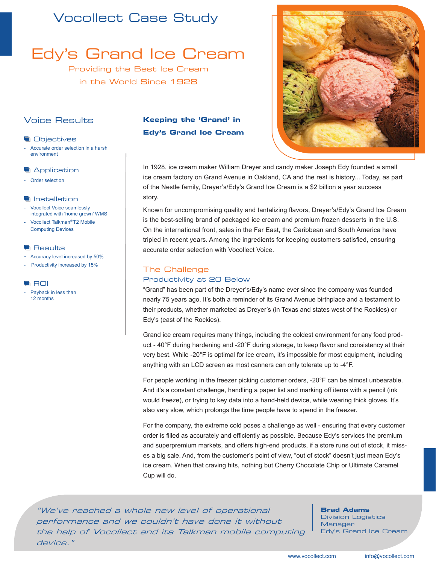## Vocollect Case Study

Edy's Grand Ice Cream

Providing the Best Ice Cream in the World Since 1928

## Voice Results

- **Objectives**
- Accurate order selection in a harsh environment
- **Application**
- Order selection

#### **Installation**

- Vocollect Voice seamlessly integrated with 'home grown' WMS
- Vocollect Talkman*®* T2 Mobile Computing Devices

#### **Results**

- Accuracy level increased by 50%
- Productivity increased by 15%

#### **ROI**

- Payback in less than 12 months

### **Keeping the 'Grand' in Edy's Grand Ice Cream**



In 1928, ice cream maker William Dreyer and candy maker Joseph Edy founded a small ice cream factory on Grand Avenue in Oakland, CA and the rest is history... Today, as part of the Nestle family, Dreyer's/Edy's Grand Ice Cream is a \$2 billion a year success story.

Known for uncompromising quality and tantalizing flavors, Dreyer's/Edy's Grand Ice Cream is the best-selling brand of packaged ice cream and premium frozen desserts in the U.S. On the international front, sales in the Far East, the Caribbean and South America have tripled in recent years. Among the ingredients for keeping customers satisfied, ensuring accurate order selection with Vocollect Voice.

#### The Challenge

#### Productivity at 20 Below

"Grand" has been part of the Dreyer's/Edy's name ever since the company was founded nearly 75 years ago. It's both a reminder of its Grand Avenue birthplace and a testament to their products, whether marketed as Dreyer's (in Texas and states west of the Rockies) or Edy's (east of the Rockies).

Grand ice cream requires many things, including the coldest environment for any food product - 40°F during hardening and -20°F during storage, to keep flavor and consistency at their very best. While -20°F is optimal for ice cream, it's impossible for most equipment, including anything with an LCD screen as most canners can only tolerate up to -4°F.

For people working in the freezer picking customer orders, -20°F can be almost unbearable. And it's a constant challenge, handling a paper list and marking off items with a pencil (ink would freeze), or trying to key data into a hand-held device, while wearing thick gloves. It's also very slow, which prolongs the time people have to spend in the freezer.

For the company, the extreme cold poses a challenge as well - ensuring that every customer order is filled as accurately and efficiently as possible. Because Edy's services the premium and superpremium markets, and offers high-end products, if a store runs out of stock, it misses a big sale. And, from the customer's point of view, "out of stock" doesn't just mean Edy's ice cream. When that craving hits, nothing but Cherry Chocolate Chip or Ultimate Caramel Cup will do.

"We've reached a whole new level of operational performance and we couldn't have done it without the help of Vocollect and its Talkman mobile computing device."

**Brad Adams**  Division Logistics

**Manager** Edy's Grand Ice Cream